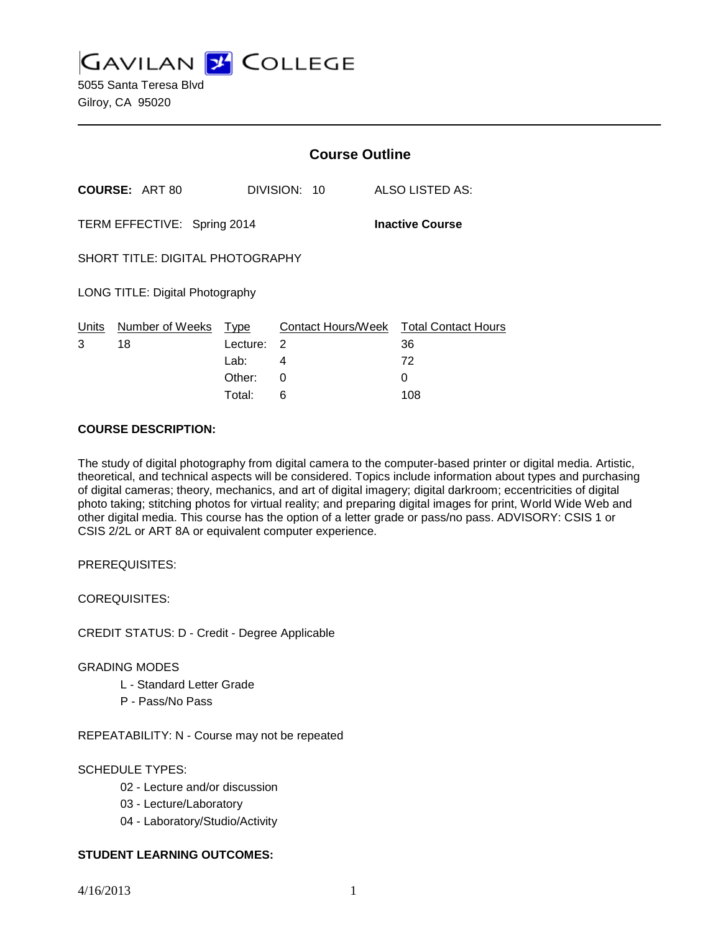**GAVILAN J' COLLEGE** 5055 Santa Teresa Blvd

|                                                       |                       |                          | <b>Course Outline</b> |                                                    |  |
|-------------------------------------------------------|-----------------------|--------------------------|-----------------------|----------------------------------------------------|--|
|                                                       | <b>COURSE: ART 80</b> |                          | DIVISION: 10          | ALSO LISTED AS:                                    |  |
| TERM EFFECTIVE: Spring 2014<br><b>Inactive Course</b> |                       |                          |                       |                                                    |  |
| <b>SHORT TITLE: DIGITAL PHOTOGRAPHY</b>               |                       |                          |                       |                                                    |  |
| LONG TITLE: Digital Photography                       |                       |                          |                       |                                                    |  |
| <u>Units</u><br>3                                     | Number of Weeks<br>18 | Type<br>Lecture:<br>Lab: | 2<br>4                | Contact Hours/Week Total Contact Hours<br>36<br>72 |  |
|                                                       |                       | Other:<br>Total:         | 0<br>6                | 0<br>108                                           |  |

## **COURSE DESCRIPTION:**

The study of digital photography from digital camera to the computer-based printer or digital media. Artistic, theoretical, and technical aspects will be considered. Topics include information about types and purchasing of digital cameras; theory, mechanics, and art of digital imagery; digital darkroom; eccentricities of digital photo taking; stitching photos for virtual reality; and preparing digital images for print, World Wide Web and other digital media. This course has the option of a letter grade or pass/no pass. ADVISORY: CSIS 1 or CSIS 2/2L or ART 8A or equivalent computer experience.

PREREQUISITES:

COREQUISITES:

CREDIT STATUS: D - Credit - Degree Applicable

#### GRADING MODES

- L Standard Letter Grade
- P Pass/No Pass

REPEATABILITY: N - Course may not be repeated

# SCHEDULE TYPES:

- 02 Lecture and/or discussion
- 03 Lecture/Laboratory
- 04 Laboratory/Studio/Activity

# **STUDENT LEARNING OUTCOMES:**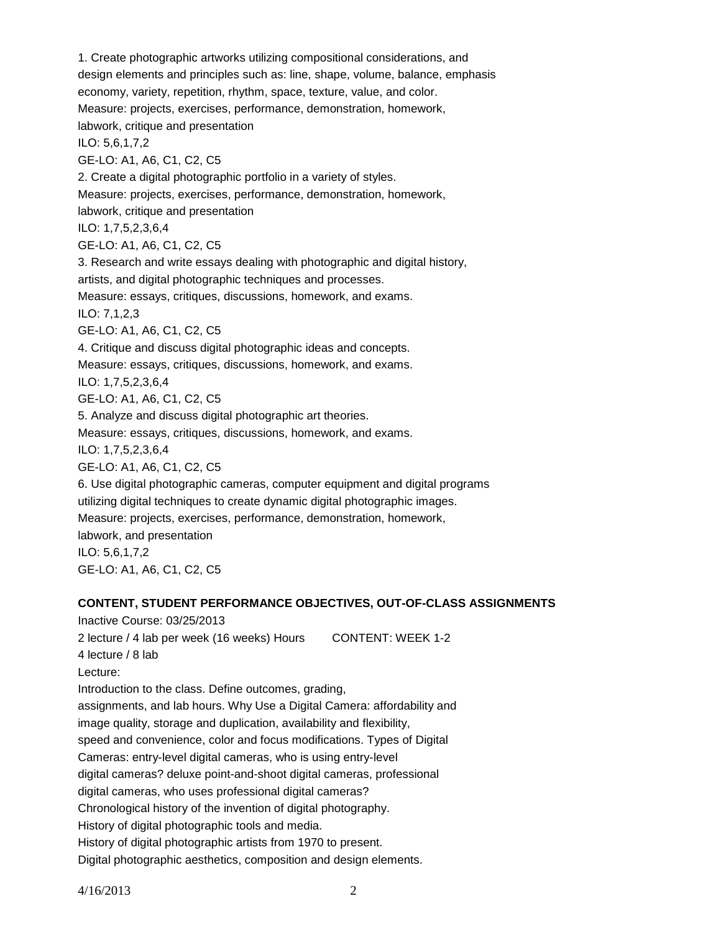1. Create photographic artworks utilizing compositional considerations, and design elements and principles such as: line, shape, volume, balance, emphasis economy, variety, repetition, rhythm, space, texture, value, and color. Measure: projects, exercises, performance, demonstration, homework, labwork, critique and presentation ILO: 5,6,1,7,2 GE-LO: A1, A6, C1, C2, C5 2. Create a digital photographic portfolio in a variety of styles. Measure: projects, exercises, performance, demonstration, homework, labwork, critique and presentation ILO: 1,7,5,2,3,6,4 GE-LO: A1, A6, C1, C2, C5 3. Research and write essays dealing with photographic and digital history, artists, and digital photographic techniques and processes. Measure: essays, critiques, discussions, homework, and exams. ILO: 7,1,2,3 GE-LO: A1, A6, C1, C2, C5 4. Critique and discuss digital photographic ideas and concepts. Measure: essays, critiques, discussions, homework, and exams. ILO: 1,7,5,2,3,6,4 GE-LO: A1, A6, C1, C2, C5 5. Analyze and discuss digital photographic art theories. Measure: essays, critiques, discussions, homework, and exams. ILO: 1,7,5,2,3,6,4 GE-LO: A1, A6, C1, C2, C5 6. Use digital photographic cameras, computer equipment and digital programs utilizing digital techniques to create dynamic digital photographic images. Measure: projects, exercises, performance, demonstration, homework, labwork, and presentation ILO: 5,6,1,7,2 GE-LO: A1, A6, C1, C2, C5

# **CONTENT, STUDENT PERFORMANCE OBJECTIVES, OUT-OF-CLASS ASSIGNMENTS**

Inactive Course: 03/25/2013 2 lecture / 4 lab per week (16 weeks) Hours CONTENT: WEEK 1-2 4 lecture / 8 lab Lecture: Introduction to the class. Define outcomes, grading, assignments, and lab hours. Why Use a Digital Camera: affordability and image quality, storage and duplication, availability and flexibility, speed and convenience, color and focus modifications. Types of Digital Cameras: entry-level digital cameras, who is using entry-level digital cameras? deluxe point-and-shoot digital cameras, professional digital cameras, who uses professional digital cameras? Chronological history of the invention of digital photography. History of digital photographic tools and media. History of digital photographic artists from 1970 to present. Digital photographic aesthetics, composition and design elements.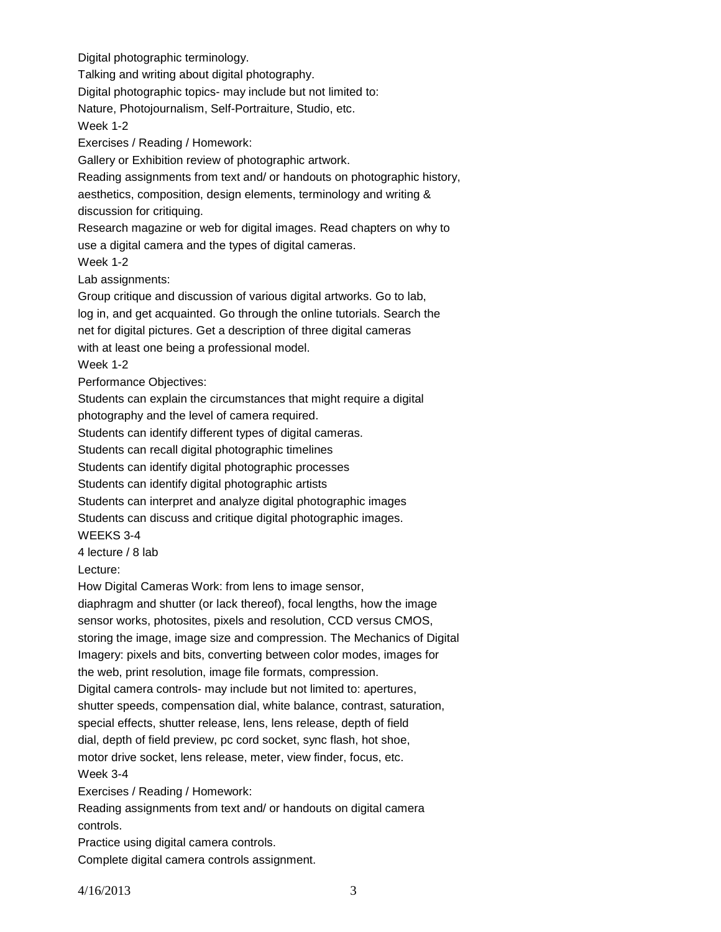Digital photographic terminology.

Talking and writing about digital photography.

Digital photographic topics- may include but not limited to:

Nature, Photojournalism, Self-Portraiture, Studio, etc.

Week 1-2

Exercises / Reading / Homework:

Gallery or Exhibition review of photographic artwork.

Reading assignments from text and/ or handouts on photographic history, aesthetics, composition, design elements, terminology and writing & discussion for critiquing.

Research magazine or web for digital images. Read chapters on why to use a digital camera and the types of digital cameras.

Week 1-2

Lab assignments:

Group critique and discussion of various digital artworks. Go to lab, log in, and get acquainted. Go through the online tutorials. Search the net for digital pictures. Get a description of three digital cameras with at least one being a professional model.

Week 1-2

Performance Objectives:

Students can explain the circumstances that might require a digital

photography and the level of camera required.

Students can identify different types of digital cameras.

Students can recall digital photographic timelines

Students can identify digital photographic processes

Students can identify digital photographic artists

Students can interpret and analyze digital photographic images

Students can discuss and critique digital photographic images.

WEEKS 3-4

4 lecture / 8 lab

Lecture:

How Digital Cameras Work: from lens to image sensor,

diaphragm and shutter (or lack thereof), focal lengths, how the image sensor works, photosites, pixels and resolution, CCD versus CMOS, storing the image, image size and compression. The Mechanics of Digital Imagery: pixels and bits, converting between color modes, images for the web, print resolution, image file formats, compression. Digital camera controls- may include but not limited to: apertures, shutter speeds, compensation dial, white balance, contrast, saturation, special effects, shutter release, lens, lens release, depth of field dial, depth of field preview, pc cord socket, sync flash, hot shoe, motor drive socket, lens release, meter, view finder, focus, etc. Week 3-4 Exercises / Reading / Homework: Reading assignments from text and/ or handouts on digital camera controls.

Practice using digital camera controls.

Complete digital camera controls assignment.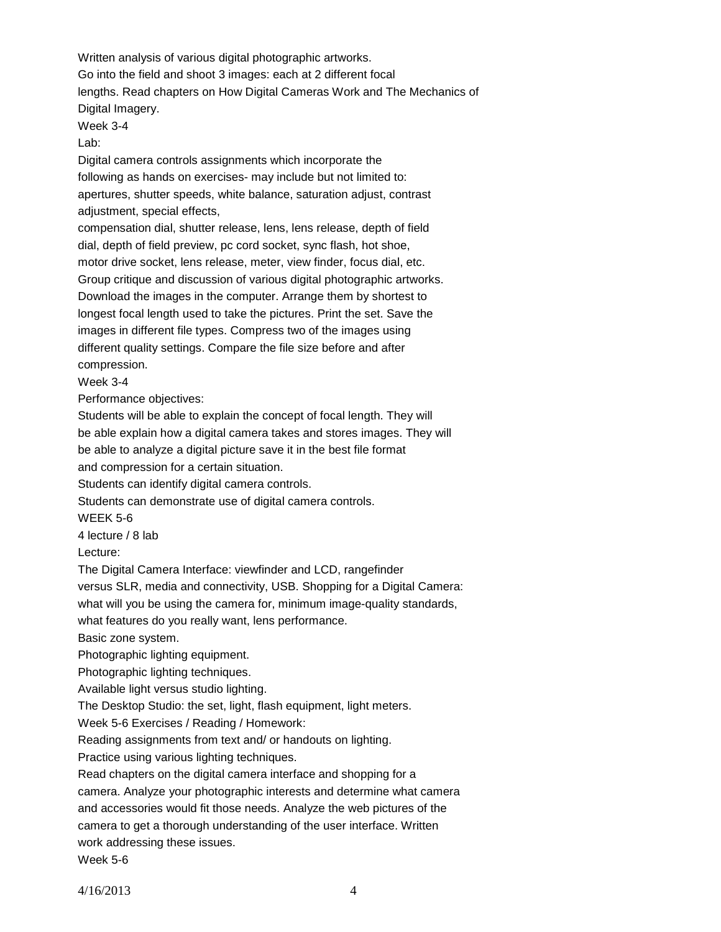Written analysis of various digital photographic artworks. Go into the field and shoot 3 images: each at 2 different focal lengths. Read chapters on How Digital Cameras Work and The Mechanics of Digital Imagery. Week 3-4

Lab:

Digital camera controls assignments which incorporate the following as hands on exercises- may include but not limited to: apertures, shutter speeds, white balance, saturation adjust, contrast adjustment, special effects,

compensation dial, shutter release, lens, lens release, depth of field dial, depth of field preview, pc cord socket, sync flash, hot shoe, motor drive socket, lens release, meter, view finder, focus dial, etc. Group critique and discussion of various digital photographic artworks. Download the images in the computer. Arrange them by shortest to longest focal length used to take the pictures. Print the set. Save the images in different file types. Compress two of the images using different quality settings. Compare the file size before and after compression.

Week 3-4

Performance objectives:

Students will be able to explain the concept of focal length. They will be able explain how a digital camera takes and stores images. They will be able to analyze a digital picture save it in the best file format and compression for a certain situation.

Students can identify digital camera controls.

Students can demonstrate use of digital camera controls.

WEEK 5-6

4 lecture / 8 lab

Lecture:

The Digital Camera Interface: viewfinder and LCD, rangefinder

versus SLR, media and connectivity, USB. Shopping for a Digital Camera:

what will you be using the camera for, minimum image-quality standards,

what features do you really want, lens performance.

Basic zone system.

Photographic lighting equipment.

Photographic lighting techniques.

Available light versus studio lighting.

The Desktop Studio: the set, light, flash equipment, light meters.

Week 5-6 Exercises / Reading / Homework:

Reading assignments from text and/ or handouts on lighting.

Practice using various lighting techniques.

Read chapters on the digital camera interface and shopping for a

camera. Analyze your photographic interests and determine what camera

and accessories would fit those needs. Analyze the web pictures of the

camera to get a thorough understanding of the user interface. Written

work addressing these issues.

Week 5-6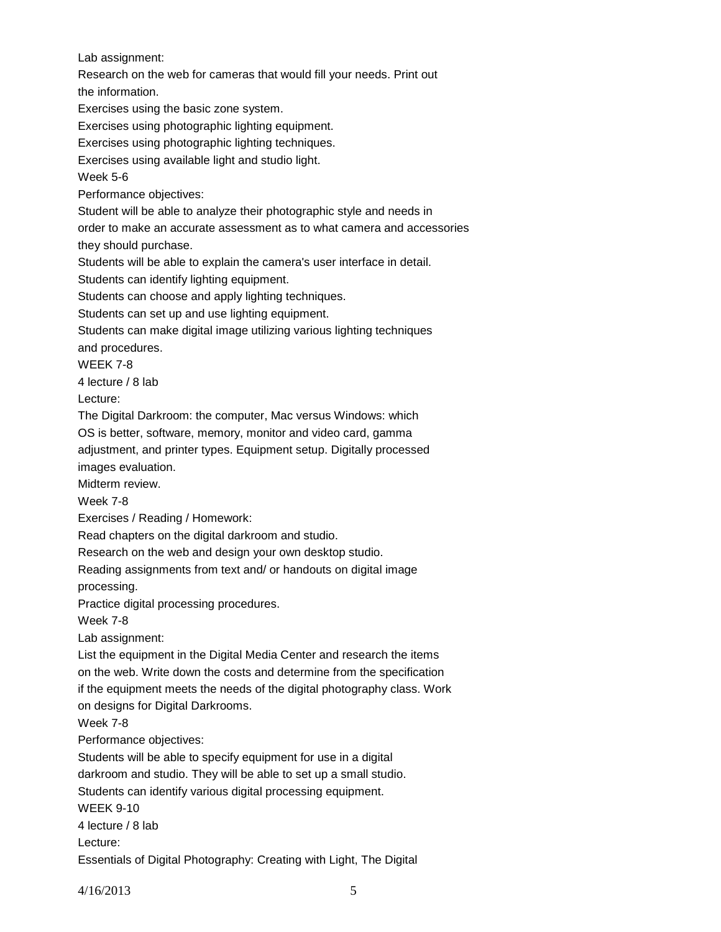Lab assignment:

Research on the web for cameras that would fill your needs. Print out

the information.

Exercises using the basic zone system.

Exercises using photographic lighting equipment.

Exercises using photographic lighting techniques.

Exercises using available light and studio light.

Week 5-6

Performance objectives:

Student will be able to analyze their photographic style and needs in

order to make an accurate assessment as to what camera and accessories

they should purchase.

Students will be able to explain the camera's user interface in detail.

Students can identify lighting equipment.

Students can choose and apply lighting techniques.

Students can set up and use lighting equipment.

Students can make digital image utilizing various lighting techniques

and procedures.

WEEK 7-8

4 lecture / 8 lab

Lecture:

The Digital Darkroom: the computer, Mac versus Windows: which

OS is better, software, memory, monitor and video card, gamma

adjustment, and printer types. Equipment setup. Digitally processed images evaluation.

Midterm review.

Week 7-8

Exercises / Reading / Homework:

Read chapters on the digital darkroom and studio.

Research on the web and design your own desktop studio.

Reading assignments from text and/ or handouts on digital image processing.

Practice digital processing procedures.

Week 7-8

Lab assignment:

List the equipment in the Digital Media Center and research the items on the web. Write down the costs and determine from the specification if the equipment meets the needs of the digital photography class. Work

on designs for Digital Darkrooms.

Week 7-8

Performance objectives:

Students will be able to specify equipment for use in a digital darkroom and studio. They will be able to set up a small studio. Students can identify various digital processing equipment. WEEK 9-10

4 lecture / 8 lab

Lecture:

Essentials of Digital Photography: Creating with Light, The Digital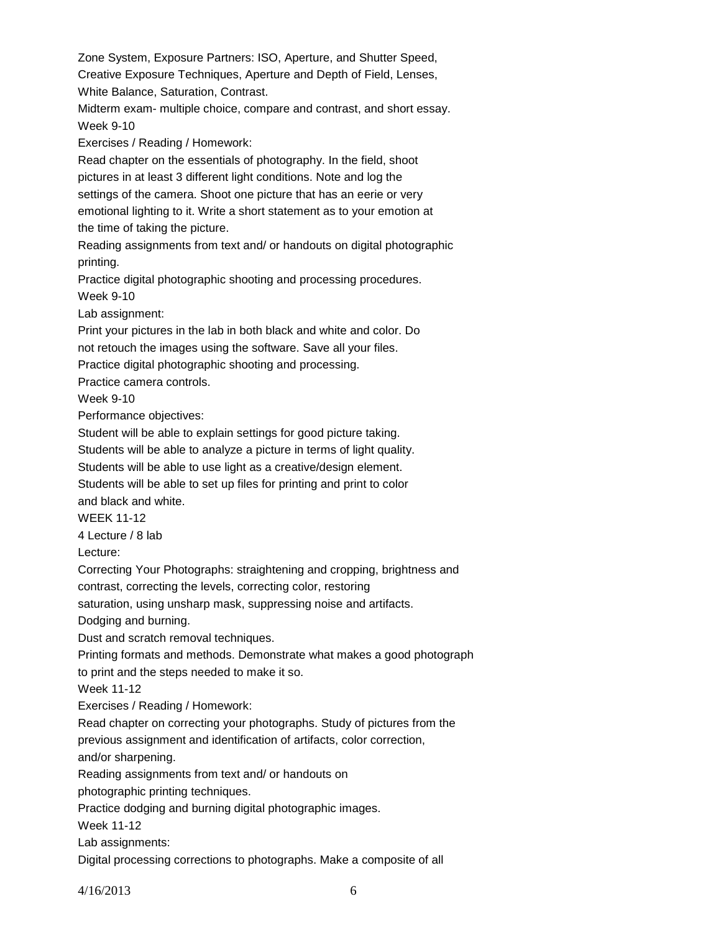Zone System, Exposure Partners: ISO, Aperture, and Shutter Speed, Creative Exposure Techniques, Aperture and Depth of Field, Lenses, White Balance, Saturation, Contrast.

Midterm exam- multiple choice, compare and contrast, and short essay. Week 9-10

Exercises / Reading / Homework:

Read chapter on the essentials of photography. In the field, shoot pictures in at least 3 different light conditions. Note and log the settings of the camera. Shoot one picture that has an eerie or very emotional lighting to it. Write a short statement as to your emotion at the time of taking the picture.

Reading assignments from text and/ or handouts on digital photographic printing.

Practice digital photographic shooting and processing procedures. Week 9-10

Lab assignment:

Print your pictures in the lab in both black and white and color. Do

not retouch the images using the software. Save all your files.

Practice digital photographic shooting and processing.

Practice camera controls.

Week 9-10

Performance objectives:

Student will be able to explain settings for good picture taking.

Students will be able to analyze a picture in terms of light quality.

Students will be able to use light as a creative/design element.

Students will be able to set up files for printing and print to color and black and white.

WEEK 11-12

4 Lecture / 8 lab

Lecture:

Correcting Your Photographs: straightening and cropping, brightness and contrast, correcting the levels, correcting color, restoring

saturation, using unsharp mask, suppressing noise and artifacts.

Dodging and burning.

Dust and scratch removal techniques.

Printing formats and methods. Demonstrate what makes a good photograph

to print and the steps needed to make it so.

Week 11-12

Exercises / Reading / Homework:

Read chapter on correcting your photographs. Study of pictures from the

previous assignment and identification of artifacts, color correction,

and/or sharpening.

Reading assignments from text and/ or handouts on

photographic printing techniques.

Practice dodging and burning digital photographic images.

Week 11-12

Lab assignments:

Digital processing corrections to photographs. Make a composite of all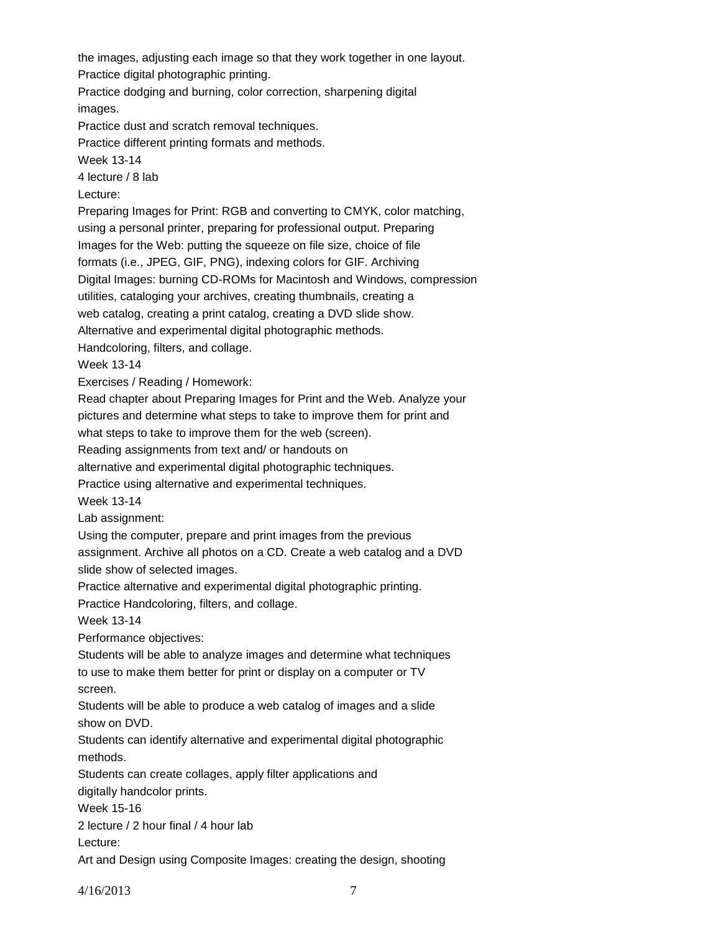the images, adjusting each image so that they work together in one layout.

Practice digital photographic printing.

Practice dodging and burning, color correction, sharpening digital images.

Practice dust and scratch removal techniques.

Practice different printing formats and methods.

Week 13-14

4 lecture / 8 lab

Lecture:

Preparing Images for Print: RGB and converting to CMYK, color matching, using a personal printer, preparing for professional output. Preparing

Images for the Web: putting the squeeze on file size, choice of file

formats (i.e., JPEG, GIF, PNG), indexing colors for GIF. Archiving

Digital Images: burning CD-ROMs for Macintosh and Windows, compression

utilities, cataloging your archives, creating thumbnails, creating a

web catalog, creating a print catalog, creating a DVD slide show.

Alternative and experimental digital photographic methods.

Handcoloring, filters, and collage.

Week 13-14

Exercises / Reading / Homework:

Read chapter about Preparing Images for Print and the Web. Analyze your

pictures and determine what steps to take to improve them for print and

what steps to take to improve them for the web (screen).

Reading assignments from text and/ or handouts on

alternative and experimental digital photographic techniques.

Practice using alternative and experimental techniques.

Week 13-14

Lab assignment:

Using the computer, prepare and print images from the previous

assignment. Archive all photos on a CD. Create a web catalog and a DVD slide show of selected images.

Practice alternative and experimental digital photographic printing.

Practice Handcoloring, filters, and collage.

Week 13-14

Performance objectives:

Students will be able to analyze images and determine what techniques to use to make them better for print or display on a computer or TV screen.

Students will be able to produce a web catalog of images and a slide show on DVD.

Students can identify alternative and experimental digital photographic methods.

Students can create collages, apply filter applications and digitally handcolor prints.

Week 15-16

2 lecture / 2 hour final / 4 hour lab

Lecture:

Art and Design using Composite Images: creating the design, shooting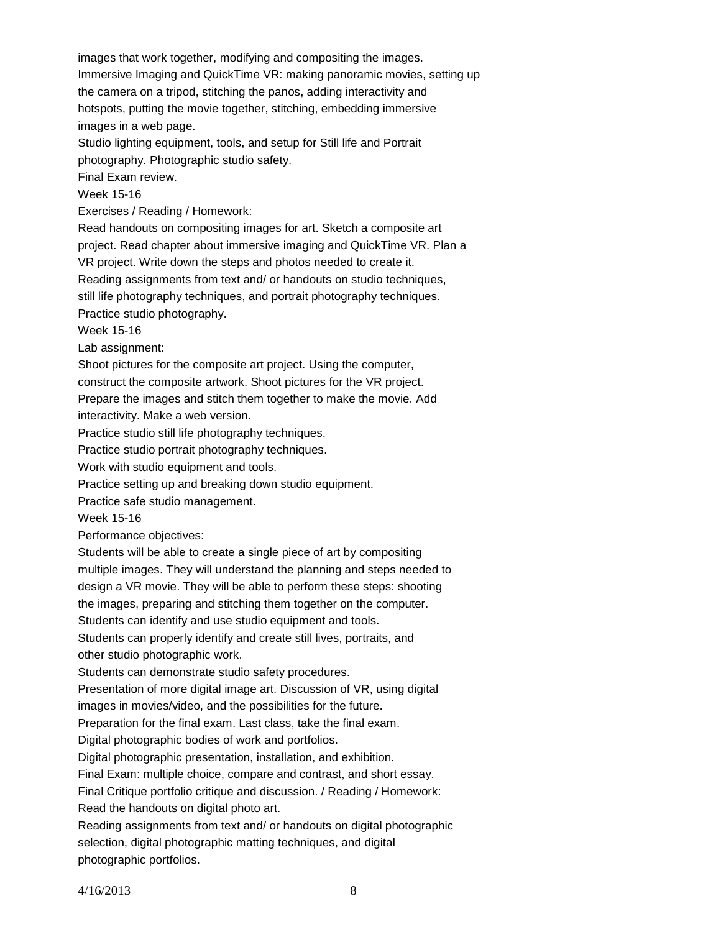images that work together, modifying and compositing the images. Immersive Imaging and QuickTime VR: making panoramic movies, setting up the camera on a tripod, stitching the panos, adding interactivity and hotspots, putting the movie together, stitching, embedding immersive images in a web page.

Studio lighting equipment, tools, and setup for Still life and Portrait photography. Photographic studio safety.

Final Exam review.

Week 15-16

Exercises / Reading / Homework:

Read handouts on compositing images for art. Sketch a composite art project. Read chapter about immersive imaging and QuickTime VR. Plan a

VR project. Write down the steps and photos needed to create it.

Reading assignments from text and/ or handouts on studio techniques,

still life photography techniques, and portrait photography techniques.

Practice studio photography.

Week 15-16

Lab assignment:

Shoot pictures for the composite art project. Using the computer,

construct the composite artwork. Shoot pictures for the VR project.

Prepare the images and stitch them together to make the movie. Add interactivity. Make a web version.

Practice studio still life photography techniques.

Practice studio portrait photography techniques.

Work with studio equipment and tools.

Practice setting up and breaking down studio equipment.

Practice safe studio management.

Week 15-16

Performance objectives:

Students will be able to create a single piece of art by compositing

multiple images. They will understand the planning and steps needed to

design a VR movie. They will be able to perform these steps: shooting

the images, preparing and stitching them together on the computer.

Students can identify and use studio equipment and tools.

Students can properly identify and create still lives, portraits, and other studio photographic work.

Students can demonstrate studio safety procedures.

Presentation of more digital image art. Discussion of VR, using digital

images in movies/video, and the possibilities for the future.

Preparation for the final exam. Last class, take the final exam.

Digital photographic bodies of work and portfolios.

Digital photographic presentation, installation, and exhibition.

Final Exam: multiple choice, compare and contrast, and short essay.

Final Critique portfolio critique and discussion. / Reading / Homework:

Read the handouts on digital photo art.

Reading assignments from text and/ or handouts on digital photographic selection, digital photographic matting techniques, and digital photographic portfolios.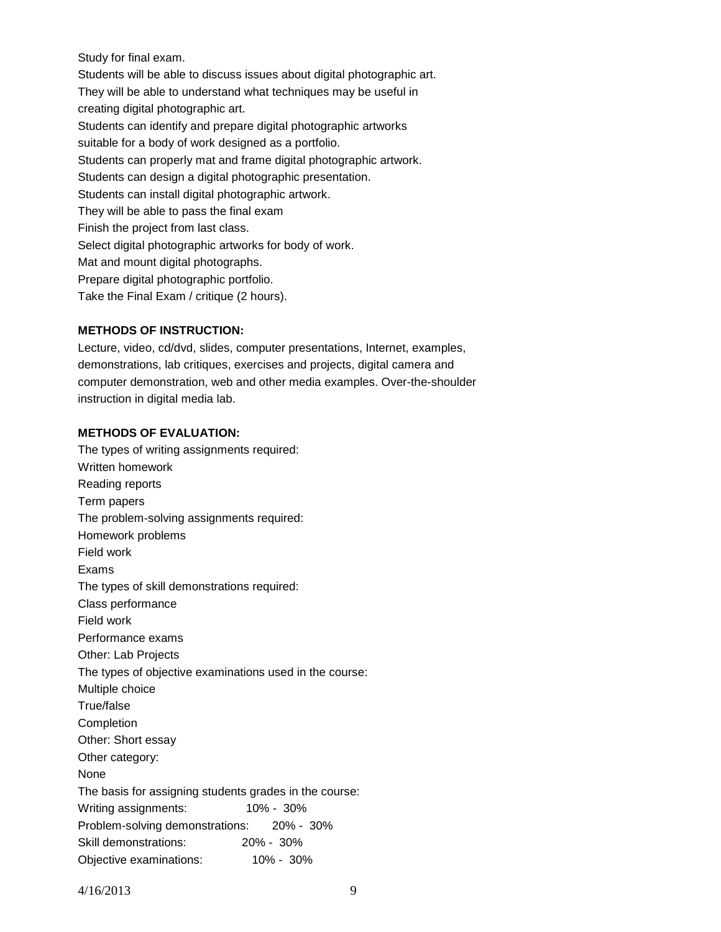Study for final exam.

Students will be able to discuss issues about digital photographic art. They will be able to understand what techniques may be useful in creating digital photographic art. Students can identify and prepare digital photographic artworks suitable for a body of work designed as a portfolio. Students can properly mat and frame digital photographic artwork. Students can design a digital photographic presentation. Students can install digital photographic artwork. They will be able to pass the final exam Finish the project from last class. Select digital photographic artworks for body of work. Mat and mount digital photographs. Prepare digital photographic portfolio. Take the Final Exam / critique (2 hours).

## **METHODS OF INSTRUCTION:**

Lecture, video, cd/dvd, slides, computer presentations, Internet, examples, demonstrations, lab critiques, exercises and projects, digital camera and computer demonstration, web and other media examples. Over-the-shoulder instruction in digital media lab.

#### **METHODS OF EVALUATION:**

The types of writing assignments required: Written homework Reading reports Term papers The problem-solving assignments required: Homework problems Field work Exams The types of skill demonstrations required: Class performance Field work Performance exams Other: Lab Projects The types of objective examinations used in the course: Multiple choice True/false **Completion** Other: Short essay Other category: None The basis for assigning students grades in the course: Writing assignments: 10% - 30% Problem-solving demonstrations: 20% - 30% Skill demonstrations: 20% - 30% Objective examinations: 10% - 30%